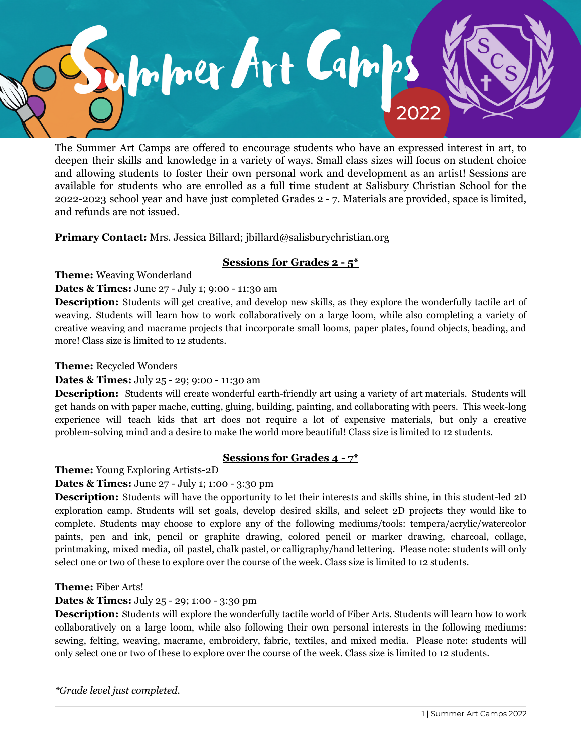

The Summer Art Camps are offered to encourage students who have an expressed interest in art, to deepen their skills and knowledge in a variety of ways. Small class sizes will focus on student choice and allowing students to foster their own personal work and development as an artist! Sessions are available for students who are enrolled as a full time student at Salisbury Christian School for the 2022-2023 school year and have just completed Grades 2 - 7. Materials are provided, space is limited, and refunds are not issued.

**Primary Contact:** Mrs. Jessica Billard; jbillard@salisburychristian.org

# **Sessions for Grades 2 - 5\***

**Theme:** Weaving Wonderland

#### **Dates & Times:** June 27 - July 1; 9:00 - 11:30 am

**Description:** Students will get creative, and develop new skills, as they explore the wonderfully tactile art of weaving. Students will learn how to work collaboratively on a large loom, while also completing a variety of creative weaving and macrame projects that incorporate small looms, paper plates, found objects, beading, and more! Class size is limited to 12 students.

#### **Theme:** Recycled Wonders

### **Dates & Times:** July 25 - 29; 9:00 - 11:30 am

**Description:** Students will create wonderful earth-friendly art using a variety of art materials. Students will get hands on with paper mache, cutting, gluing, building, painting, and collaborating with peers. This week-long experience will teach kids that art does not require a lot of expensive materials, but only a creative problem-solving mind and a desire to make the world more beautiful! Class size is limited to 12 students.

## **Sessions for Grades 4 - 7\***

**Theme:** Young Exploring Artists-2D

## **Dates & Times:** June 27 - July 1; 1:00 - 3:30 pm

**Description:** Students will have the opportunity to let their interests and skills shine, in this student-led 2D exploration camp. Students will set goals, develop desired skills, and select 2D projects they would like to complete. Students may choose to explore any of the following mediums/tools: tempera/acrylic/watercolor paints, pen and ink, pencil or graphite drawing, colored pencil or marker drawing, charcoal, collage, printmaking, mixed media, oil pastel, chalk pastel, or calligraphy/hand lettering. Please note: students will only select one or two of these to explore over the course of the week. Class size is limited to 12 students.

#### **Theme:** Fiber Arts!

## **Dates & Times:** July 25 - 29; 1:00 - 3:30 pm

**Description:** Students will explore the wonderfully tactile world of Fiber Arts. Students will learn how to work collaboratively on a large loom, while also following their own personal interests in the following mediums: sewing, felting, weaving, macrame, embroidery, fabric, textiles, and mixed media. Please note: students will only select one or two of these to explore over the course of the week. Class size is limited to 12 students.

*\*Grade level just completed.*